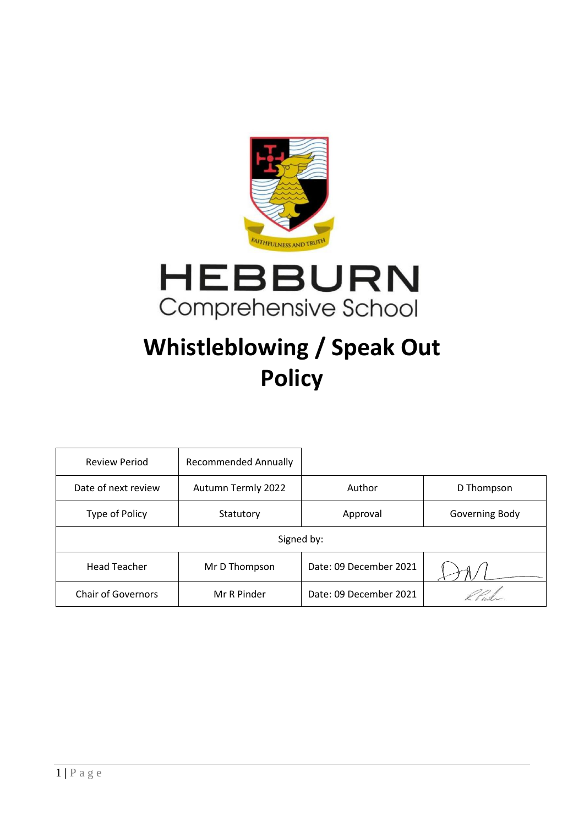



# **Whistleblowing / Speak Out Policy**

| <b>Review Period</b>      | <b>Recommended Annually</b> |                        |                |
|---------------------------|-----------------------------|------------------------|----------------|
| Date of next review       | Autumn Termly 2022          | Author                 | D Thompson     |
| Type of Policy            | Statutory                   | Approval               | Governing Body |
| Signed by:                |                             |                        |                |
| <b>Head Teacher</b>       | Mr D Thompson               | Date: 09 December 2021 |                |
| <b>Chair of Governors</b> | Mr R Pinder                 | Date: 09 December 2021 |                |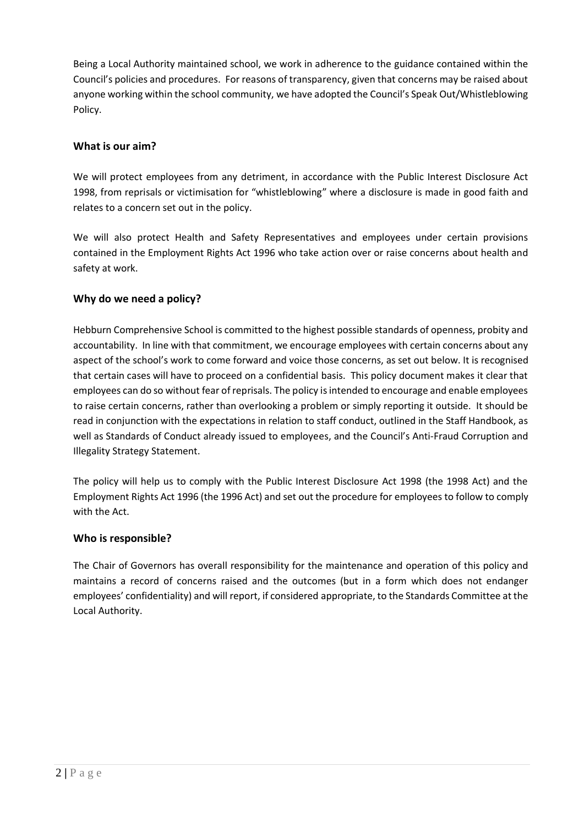Being a Local Authority maintained school, we work in adherence to the guidance contained within the Council's policies and procedures. For reasons of transparency, given that concerns may be raised about anyone working within the school community, we have adopted the Council's Speak Out/Whistleblowing Policy.

# **What is our aim?**

We will protect employees from any detriment, in accordance with the Public Interest Disclosure Act 1998, from reprisals or victimisation for "whistleblowing" where a disclosure is made in good faith and relates to a concern set out in the policy.

We will also protect Health and Safety Representatives and employees under certain provisions contained in the Employment Rights Act 1996 who take action over or raise concerns about health and safety at work.

# **Why do we need a policy?**

Hebburn Comprehensive School is committed to the highest possible standards of openness, probity and accountability. In line with that commitment, we encourage employees with certain concerns about any aspect of the school's work to come forward and voice those concerns, as set out below. It is recognised that certain cases will have to proceed on a confidential basis. This policy document makes it clear that employees can do so without fear of reprisals. The policy is intended to encourage and enable employees to raise certain concerns, rather than overlooking a problem or simply reporting it outside. It should be read in conjunction with the expectations in relation to staff conduct, outlined in the Staff Handbook, as well as Standards of Conduct already issued to employees, and the Council's Anti-Fraud Corruption and Illegality Strategy Statement.

The policy will help us to comply with the Public Interest Disclosure Act 1998 (the 1998 Act) and the Employment Rights Act 1996 (the 1996 Act) and set out the procedure for employees to follow to comply with the Act.

## **Who is responsible?**

The Chair of Governors has overall responsibility for the maintenance and operation of this policy and maintains a record of concerns raised and the outcomes (but in a form which does not endanger employees' confidentiality) and will report, if considered appropriate, to the Standards Committee at the Local Authority.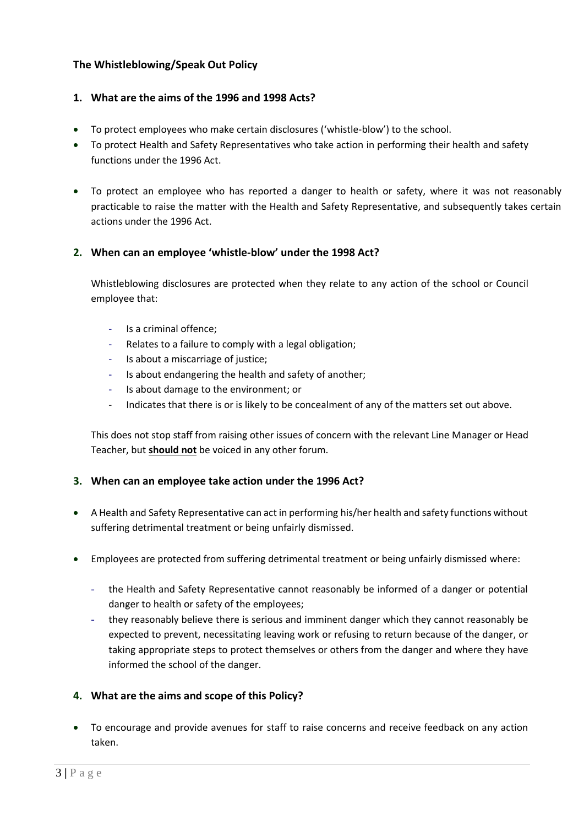# **The Whistleblowing/Speak Out Policy**

## **1. What are the aims of the 1996 and 1998 Acts?**

- To protect employees who make certain disclosures ('whistle-blow') to the school.
- To protect Health and Safety Representatives who take action in performing their health and safety functions under the 1996 Act.
- To protect an employee who has reported a danger to health or safety, where it was not reasonably practicable to raise the matter with the Health and Safety Representative, and subsequently takes certain actions under the 1996 Act.

## **2. When can an employee 'whistle-blow' under the 1998 Act?**

Whistleblowing disclosures are protected when they relate to any action of the school or Council employee that:

- Is a criminal offence;
- Relates to a failure to comply with a legal obligation;
- Is about a miscarriage of justice;
- Is about endangering the health and safety of another;
- Is about damage to the environment; or
- Indicates that there is or is likely to be concealment of any of the matters set out above.

This does not stop staff from raising other issues of concern with the relevant Line Manager or Head Teacher, but **should not** be voiced in any other forum.

## **3. When can an employee take action under the 1996 Act?**

- A Health and Safety Representative can act in performing his/her health and safety functions without suffering detrimental treatment or being unfairly dismissed.
- Employees are protected from suffering detrimental treatment or being unfairly dismissed where:
	- the Health and Safety Representative cannot reasonably be informed of a danger or potential danger to health or safety of the employees;
	- they reasonably believe there is serious and imminent danger which they cannot reasonably be expected to prevent, necessitating leaving work or refusing to return because of the danger, or taking appropriate steps to protect themselves or others from the danger and where they have informed the school of the danger.

## **4. What are the aims and scope of this Policy?**

• To encourage and provide avenues for staff to raise concerns and receive feedback on any action taken.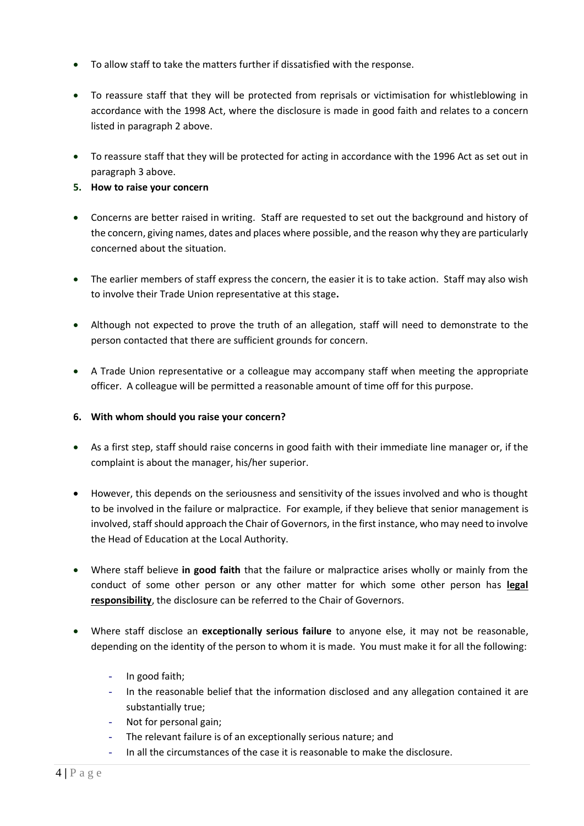- To allow staff to take the matters further if dissatisfied with the response.
- To reassure staff that they will be protected from reprisals or victimisation for whistleblowing in accordance with the 1998 Act, where the disclosure is made in good faith and relates to a concern listed in paragraph 2 above.
- To reassure staff that they will be protected for acting in accordance with the 1996 Act as set out in paragraph 3 above.
- **5. How to raise your concern**
- Concerns are better raised in writing. Staff are requested to set out the background and history of the concern, giving names, dates and places where possible, and the reason why they are particularly concerned about the situation.
- The earlier members of staff express the concern, the easier it is to take action. Staff may also wish to involve their Trade Union representative at this stage**.**
- Although not expected to prove the truth of an allegation, staff will need to demonstrate to the person contacted that there are sufficient grounds for concern.
- A Trade Union representative or a colleague may accompany staff when meeting the appropriate officer. A colleague will be permitted a reasonable amount of time off for this purpose.

## **6. With whom should you raise your concern?**

- As a first step, staff should raise concerns in good faith with their immediate line manager or, if the complaint is about the manager, his/her superior.
- However, this depends on the seriousness and sensitivity of the issues involved and who is thought to be involved in the failure or malpractice. For example, if they believe that senior management is involved, staff should approach the Chair of Governors, in the first instance, who may need to involve the Head of Education at the Local Authority.
- Where staff believe **in good faith** that the failure or malpractice arises wholly or mainly from the conduct of some other person or any other matter for which some other person has **legal responsibility**, the disclosure can be referred to the Chair of Governors.
- Where staff disclose an **exceptionally serious failure** to anyone else, it may not be reasonable, depending on the identity of the person to whom it is made. You must make it for all the following:
	- In good faith;
	- In the reasonable belief that the information disclosed and any allegation contained it are substantially true;
	- Not for personal gain;
	- The relevant failure is of an exceptionally serious nature; and
	- In all the circumstances of the case it is reasonable to make the disclosure.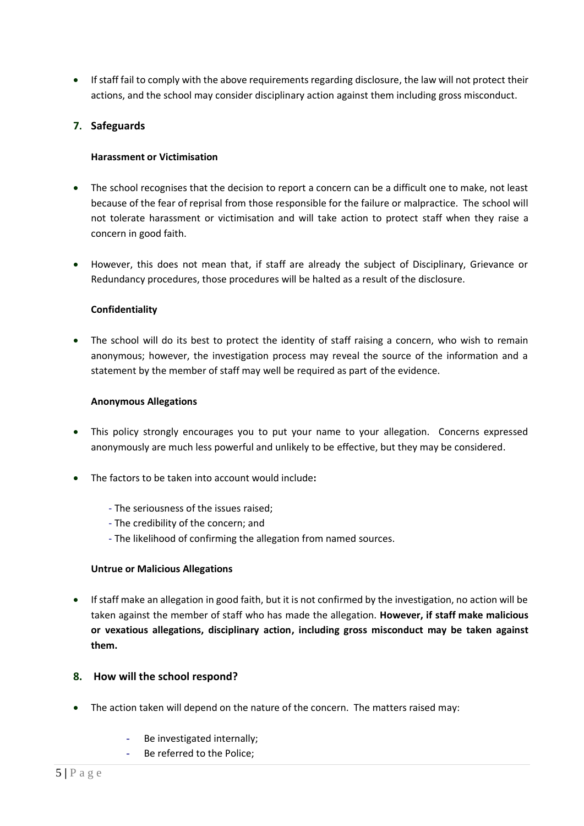• If staff fail to comply with the above requirements regarding disclosure, the law will not protect their actions, and the school may consider disciplinary action against them including gross misconduct.

## **7. Safeguards**

#### **Harassment or Victimisation**

- The school recognises that the decision to report a concern can be a difficult one to make, not least because of the fear of reprisal from those responsible for the failure or malpractice. The school will not tolerate harassment or victimisation and will take action to protect staff when they raise a concern in good faith.
- However, this does not mean that, if staff are already the subject of Disciplinary, Grievance or Redundancy procedures, those procedures will be halted as a result of the disclosure.

#### **Confidentiality**

• The school will do its best to protect the identity of staff raising a concern, who wish to remain anonymous; however, the investigation process may reveal the source of the information and a statement by the member of staff may well be required as part of the evidence.

#### **Anonymous Allegations**

- This policy strongly encourages you to put your name to your allegation. Concerns expressed anonymously are much less powerful and unlikely to be effective, but they may be considered.
- The factors to be taken into account would include**:**
	- The seriousness of the issues raised;
	- The credibility of the concern; and
	- The likelihood of confirming the allegation from named sources.

#### **Untrue or Malicious Allegations**

• If staff make an allegation in good faith, but it is not confirmed by the investigation, no action will be taken against the member of staff who has made the allegation. **However, if staff make malicious or vexatious allegations, disciplinary action, including gross misconduct may be taken against them.** 

## **8. How will the school respond?**

- The action taken will depend on the nature of the concern. The matters raised may:
	- Be investigated internally;
	- Be referred to the Police;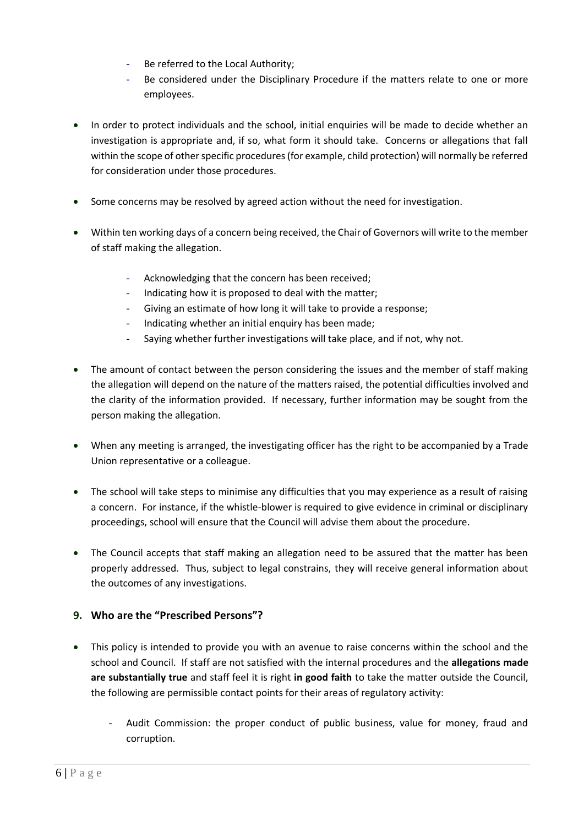- Be referred to the Local Authority;
- Be considered under the Disciplinary Procedure if the matters relate to one or more employees.
- In order to protect individuals and the school, initial enquiries will be made to decide whether an investigation is appropriate and, if so, what form it should take. Concerns or allegations that fall within the scope of other specific procedures (for example, child protection) will normally be referred for consideration under those procedures.
- Some concerns may be resolved by agreed action without the need for investigation.
- Within ten working days of a concern being received, the Chair of Governors will write to the member of staff making the allegation.
	- Acknowledging that the concern has been received;
	- Indicating how it is proposed to deal with the matter;
	- Giving an estimate of how long it will take to provide a response;
	- Indicating whether an initial enquiry has been made;
	- Saying whether further investigations will take place, and if not, why not.
- The amount of contact between the person considering the issues and the member of staff making the allegation will depend on the nature of the matters raised, the potential difficulties involved and the clarity of the information provided. If necessary, further information may be sought from the person making the allegation.
- When any meeting is arranged, the investigating officer has the right to be accompanied by a Trade Union representative or a colleague.
- The school will take steps to minimise any difficulties that you may experience as a result of raising a concern. For instance, if the whistle-blower is required to give evidence in criminal or disciplinary proceedings, school will ensure that the Council will advise them about the procedure.
- The Council accepts that staff making an allegation need to be assured that the matter has been properly addressed. Thus, subject to legal constrains, they will receive general information about the outcomes of any investigations.

# **9. Who are the "Prescribed Persons"?**

- This policy is intended to provide you with an avenue to raise concerns within the school and the school and Council. If staff are not satisfied with the internal procedures and the **allegations made are substantially true** and staff feel it is right **in good faith** to take the matter outside the Council, the following are permissible contact points for their areas of regulatory activity:
	- Audit Commission: the proper conduct of public business, value for money, fraud and corruption.